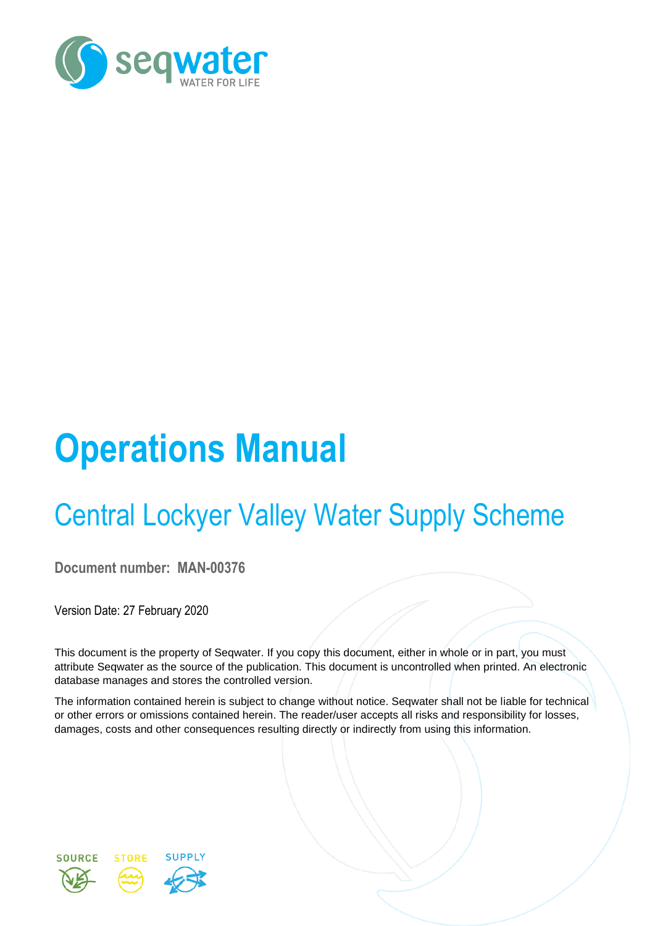

# **Operations Manual**

# Central Lockyer Valley Water Supply Scheme

**Document number: MAN-00376**

Version Date: 27 February 2020

This document is the property of Seqwater. If you copy this document, either in whole or in part, you must attribute Seqwater as the source of the publication. This document is uncontrolled when printed. An electronic database manages and stores the controlled version.

The information contained herein is subject to change without notice. Seqwater shall not be liable for technical or other errors or omissions contained herein. The reader/user accepts all risks and responsibility for losses, damages, costs and other consequences resulting directly or indirectly from using this information.

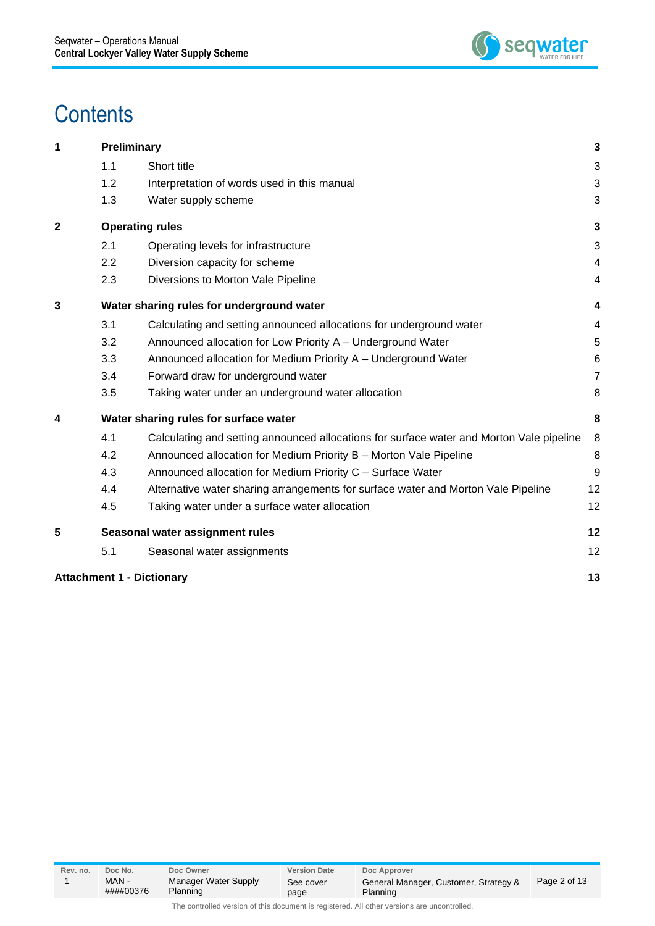

## **Contents**

| 1            |                                       | <b>Preliminary</b>                                                                       | 3              |  |  |
|--------------|---------------------------------------|------------------------------------------------------------------------------------------|----------------|--|--|
|              | 1.1                                   | Short title                                                                              | 3              |  |  |
|              | 1.2                                   | Interpretation of words used in this manual                                              | 3              |  |  |
|              | 1.3                                   | Water supply scheme                                                                      | 3              |  |  |
| $\mathbf{2}$ |                                       | <b>Operating rules</b>                                                                   | 3              |  |  |
|              | 2.1                                   | Operating levels for infrastructure                                                      | 3              |  |  |
|              | 2.2                                   | Diversion capacity for scheme                                                            | 4              |  |  |
|              | 2.3                                   | Diversions to Morton Vale Pipeline                                                       | 4              |  |  |
| 3            |                                       | Water sharing rules for underground water                                                | 4              |  |  |
|              | 3.1                                   | Calculating and setting announced allocations for underground water                      | 4              |  |  |
|              | 3.2                                   | Announced allocation for Low Priority A - Underground Water                              | 5              |  |  |
|              | 3.3                                   | Announced allocation for Medium Priority A - Underground Water                           | 6              |  |  |
|              | 3.4                                   | Forward draw for underground water                                                       | $\overline{7}$ |  |  |
|              | 3.5                                   | Taking water under an underground water allocation                                       | 8              |  |  |
| 4            | Water sharing rules for surface water |                                                                                          |                |  |  |
|              | 4.1                                   | Calculating and setting announced allocations for surface water and Morton Vale pipeline | 8              |  |  |
|              | 4.2                                   | Announced allocation for Medium Priority B - Morton Vale Pipeline                        | 8              |  |  |
|              | 4.3                                   | Announced allocation for Medium Priority C - Surface Water                               | 9              |  |  |
|              | 4.4                                   | Alternative water sharing arrangements for surface water and Morton Vale Pipeline        | 12             |  |  |
|              | 4.5                                   | Taking water under a surface water allocation                                            | 12             |  |  |
| 5            |                                       | Seasonal water assignment rules                                                          | 12             |  |  |
|              | 5.1                                   | Seasonal water assignments                                                               | 12             |  |  |
|              |                                       | <b>Attachment 1 - Dictionary</b>                                                         | 13             |  |  |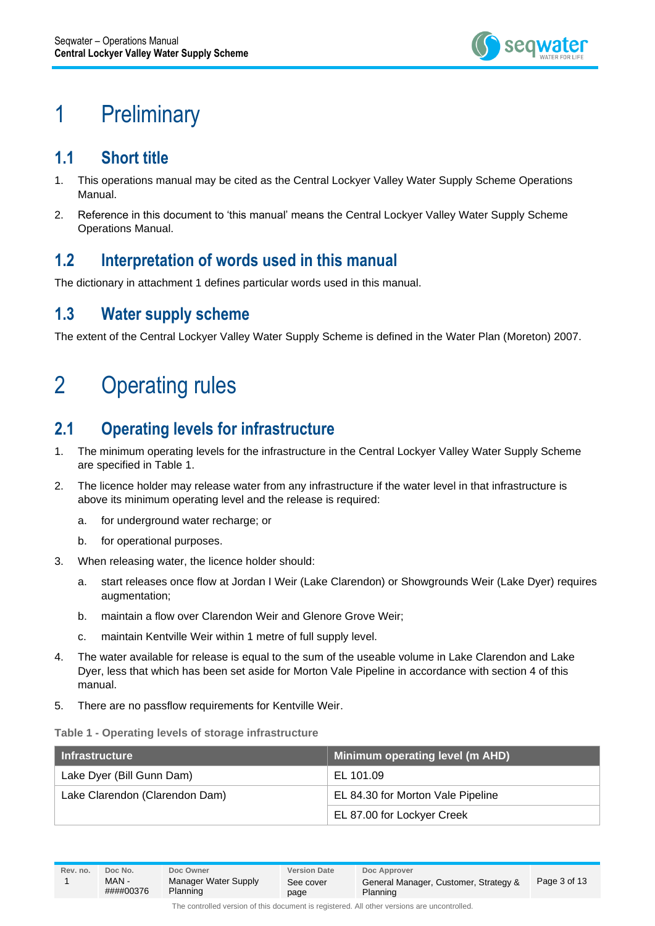

### <span id="page-2-0"></span>1 Preliminary

#### <span id="page-2-1"></span>**1.1 Short title**

- 1. This operations manual may be cited as the Central Lockyer Valley Water Supply Scheme Operations Manual.
- 2. Reference in this document to 'this manual' means the Central Lockyer Valley Water Supply Scheme Operations Manual.

#### <span id="page-2-2"></span>**1.2 Interpretation of words used in this manual**

The dictionary in attachment 1 defines particular words used in this manual.

#### <span id="page-2-3"></span>**1.3 Water supply scheme**

The extent of the Central Lockyer Valley Water Supply Scheme is defined in the Water Plan (Moreton) 2007.

### <span id="page-2-4"></span>2 Operating rules

### <span id="page-2-5"></span>**2.1 Operating levels for infrastructure**

- 1. The minimum operating levels for the infrastructure in the Central Lockyer Valley Water Supply Scheme are specified in Table 1.
- 2. The licence holder may release water from any infrastructure if the water level in that infrastructure is above its minimum operating level and the release is required:
	- a. for underground water recharge; or
	- b. for operational purposes.
- 3. When releasing water, the licence holder should:
	- a. start releases once flow at Jordan I Weir (Lake Clarendon) or Showgrounds Weir (Lake Dyer) requires augmentation;
	- b. maintain a flow over Clarendon Weir and Glenore Grove Weir;
	- c. maintain Kentville Weir within 1 metre of full supply level.
- 4. The water available for release is equal to the sum of the useable volume in Lake Clarendon and Lake Dyer, less that which has been set aside for Morton Vale Pipeline in accordance with section 4 of this manual.
- 5. There are no passflow requirements for Kentville Weir.

#### **Table 1 - Operating levels of storage infrastructure**

| <b>Infrastructure</b>          | Minimum operating level (m AHD)   |  |
|--------------------------------|-----------------------------------|--|
| Lake Dyer (Bill Gunn Dam)      | EL 101.09                         |  |
| Lake Clarendon (Clarendon Dam) | EL 84.30 for Morton Vale Pipeline |  |
|                                | EL 87.00 for Lockyer Creek        |  |

####00376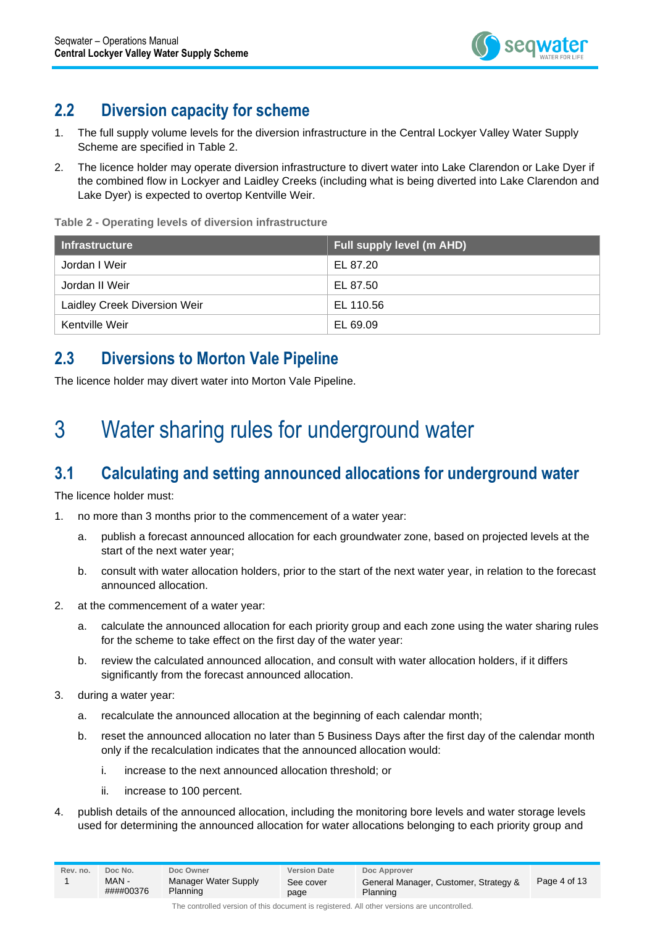

#### <span id="page-3-0"></span>**2.2 Diversion capacity for scheme**

- 1. The full supply volume levels for the diversion infrastructure in the Central Lockyer Valley Water Supply Scheme are specified in Table 2.
- 2. The licence holder may operate diversion infrastructure to divert water into Lake Clarendon or Lake Dyer if the combined flow in Lockyer and Laidley Creeks (including what is being diverted into Lake Clarendon and Lake Dyer) is expected to overtop Kentville Weir.

**Table 2 - Operating levels of diversion infrastructure**

| ∣ Infrastructure             | Full supply level (m AHD) |
|------------------------------|---------------------------|
| Jordan I Weir                | EL 87.20                  |
| Jordan II Weir               | EL 87.50                  |
| Laidley Creek Diversion Weir | EL 110.56                 |
| Kentville Weir               | EL 69.09                  |

#### <span id="page-3-1"></span>**2.3 Diversions to Morton Vale Pipeline**

<span id="page-3-2"></span>The licence holder may divert water into Morton Vale Pipeline.

### 3 Water sharing rules for underground water

### <span id="page-3-3"></span>**3.1 Calculating and setting announced allocations for underground water**

The licence holder must:

- 1. no more than 3 months prior to the commencement of a water year:
	- a. publish a forecast announced allocation for each groundwater zone, based on projected levels at the start of the next water year;
	- b. consult with water allocation holders, prior to the start of the next water year, in relation to the forecast announced allocation.
- 2. at the commencement of a water year:
	- a. calculate the announced allocation for each priority group and each zone using the water sharing rules for the scheme to take effect on the first day of the water year:
	- b. review the calculated announced allocation, and consult with water allocation holders, if it differs significantly from the forecast announced allocation.
- 3. during a water year:
	- a. recalculate the announced allocation at the beginning of each calendar month;
	- b. reset the announced allocation no later than 5 Business Days after the first day of the calendar month only if the recalculation indicates that the announced allocation would:
		- i. increase to the next announced allocation threshold; or
		- ii. increase to 100 percent.
- 4. publish details of the announced allocation, including the monitoring bore levels and water storage levels used for determining the announced allocation for water allocations belonging to each priority group and

| Rev. no. | Doc No.           | Doc Owner                        | <b>Version Date</b> | Doc Approver                                      |              |
|----------|-------------------|----------------------------------|---------------------|---------------------------------------------------|--------------|
|          | MAN-<br>####00376 | Manager Water Supply<br>Planning | See cover<br>page   | General Manager, Customer, Strategy &<br>Planning | Page 4 of 13 |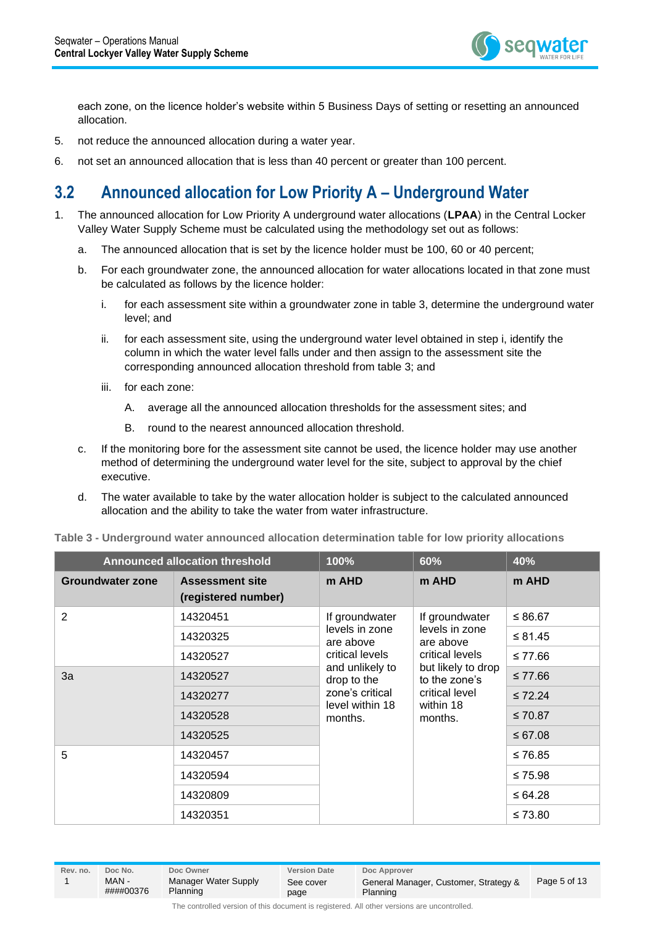

each zone, on the licence holder's website within 5 Business Days of setting or resetting an announced allocation.

- 5. not reduce the announced allocation during a water year.
- 6. not set an announced allocation that is less than 40 percent or greater than 100 percent.

#### <span id="page-4-0"></span>**3.2 Announced allocation for Low Priority A – Underground Water**

- 1. The announced allocation for Low Priority A underground water allocations (**LPAA**) in the Central Locker Valley Water Supply Scheme must be calculated using the methodology set out as follows:
	- a. The announced allocation that is set by the licence holder must be 100, 60 or 40 percent;
	- b. For each groundwater zone, the announced allocation for water allocations located in that zone must be calculated as follows by the licence holder:
		- i. for each assessment site within a groundwater zone in table 3, determine the underground water level; and
		- ii. for each assessment site, using the underground water level obtained in step i, identify the column in which the water level falls under and then assign to the assessment site the corresponding announced allocation threshold from table 3; and
		- iii. for each zone:
			- A. average all the announced allocation thresholds for the assessment sites; and
			- B. round to the nearest announced allocation threshold.
	- c. If the monitoring bore for the assessment site cannot be used, the licence holder may use another method of determining the underground water level for the site, subject to approval by the chief executive.
	- d. The water available to take by the water allocation holder is subject to the calculated announced allocation and the ability to take the water from water infrastructure.

| <b>Announced allocation threshold</b> |                                               | 100%                                              | 60%                                                    | 40%          |
|---------------------------------------|-----------------------------------------------|---------------------------------------------------|--------------------------------------------------------|--------------|
| <b>Groundwater zone</b>               | <b>Assessment site</b><br>(registered number) | m AHD                                             | m AHD                                                  | m AHD        |
| $\overline{2}$                        | 14320451                                      | If groundwater                                    | If groundwater                                         | ≤ 86.67      |
|                                       | 14320325                                      | levels in zone<br>are above                       | levels in zone<br>are above                            | ≤ 81.45      |
|                                       | 14320527                                      | critical levels<br>and unlikely to<br>drop to the | critical levels<br>but likely to drop<br>to the zone's | ≤ 77.66      |
| 3a                                    | 14320527                                      |                                                   |                                                        | $≤ 77.66$    |
|                                       | 14320277                                      | zone's critical<br>level within 18                | critical level<br>within 18                            | $\leq 72.24$ |
|                                       | 14320528                                      | months.                                           | months.                                                | $≤ 70.87$    |
|                                       | 14320525                                      |                                                   |                                                        | ≤ 67.08      |
| 5                                     | 14320457                                      |                                                   |                                                        | ≤ 76.85      |
|                                       | 14320594                                      |                                                   |                                                        | ≤ 75.98      |
|                                       | 14320809                                      |                                                   |                                                        | ≤ 64.28      |
| 14320351                              |                                               |                                                   |                                                        | ≤ 73.80      |

**Table 3 - Underground water announced allocation determination table for low priority allocations**

| Rev. no. | Doc No.            | Doc Owner                        | <b>Version Date</b> | Doc Approver                                      |              |
|----------|--------------------|----------------------------------|---------------------|---------------------------------------------------|--------------|
|          | MAN -<br>####00376 | Manager Water Supply<br>Planning | See cover<br>page   | General Manager, Customer, Strategy &<br>Planning | Page 5 of 13 |
|          |                    |                                  |                     |                                                   |              |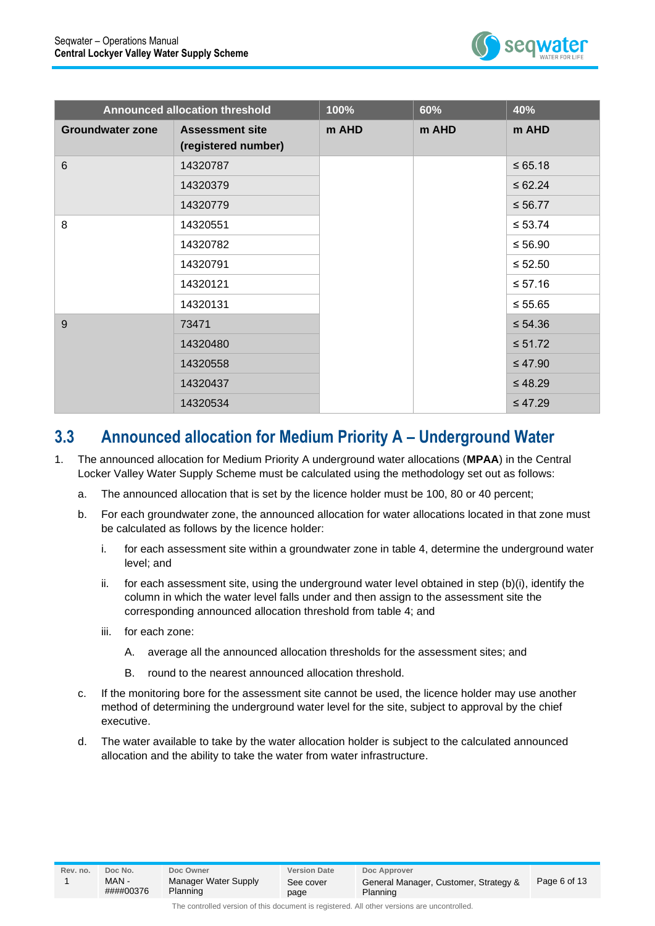

|                         | <b>Announced allocation threshold</b>         | 100%  | 60%   | 40%          |
|-------------------------|-----------------------------------------------|-------|-------|--------------|
| <b>Groundwater zone</b> | <b>Assessment site</b><br>(registered number) | m AHD | m AHD | m AHD        |
| $6\phantom{1}6$         | 14320787                                      |       |       | $\le 65.18$  |
|                         | 14320379                                      |       |       | $\le 62.24$  |
|                         | 14320779                                      |       |       | $\leq 56.77$ |
| 8                       | 14320551                                      |       |       | $\leq 53.74$ |
|                         | 14320782                                      |       |       | $≤ 56.90$    |
|                         | 14320791                                      |       |       | $\leq 52.50$ |
|                         | 14320121                                      |       |       | $≤ 57.16$    |
|                         | 14320131                                      |       |       | $\leq 55.65$ |
| 9                       | 73471                                         |       |       | $\leq 54.36$ |
|                         | 14320480                                      |       |       | $\leq 51.72$ |
|                         | 14320558                                      |       |       | $\leq 47.90$ |
|                         | 14320437                                      |       |       | $\leq 48.29$ |
|                         | 14320534                                      |       |       | $\leq 47.29$ |

#### <span id="page-5-0"></span>**3.3 Announced allocation for Medium Priority A – Underground Water**

- 1. The announced allocation for Medium Priority A underground water allocations (**MPAA**) in the Central Locker Valley Water Supply Scheme must be calculated using the methodology set out as follows:
	- a. The announced allocation that is set by the licence holder must be 100, 80 or 40 percent;
	- b. For each groundwater zone, the announced allocation for water allocations located in that zone must be calculated as follows by the licence holder:
		- i. for each assessment site within a groundwater zone in table 4, determine the underground water level; and
		- ii. for each assessment site, using the underground water level obtained in step (b)(i), identify the column in which the water level falls under and then assign to the assessment site the corresponding announced allocation threshold from table 4; and
		- iii. for each zone:
			- A. average all the announced allocation thresholds for the assessment sites; and
			- B. round to the nearest announced allocation threshold.
	- c. If the monitoring bore for the assessment site cannot be used, the licence holder may use another method of determining the underground water level for the site, subject to approval by the chief executive.
	- d. The water available to take by the water allocation holder is subject to the calculated announced allocation and the ability to take the water from water infrastructure.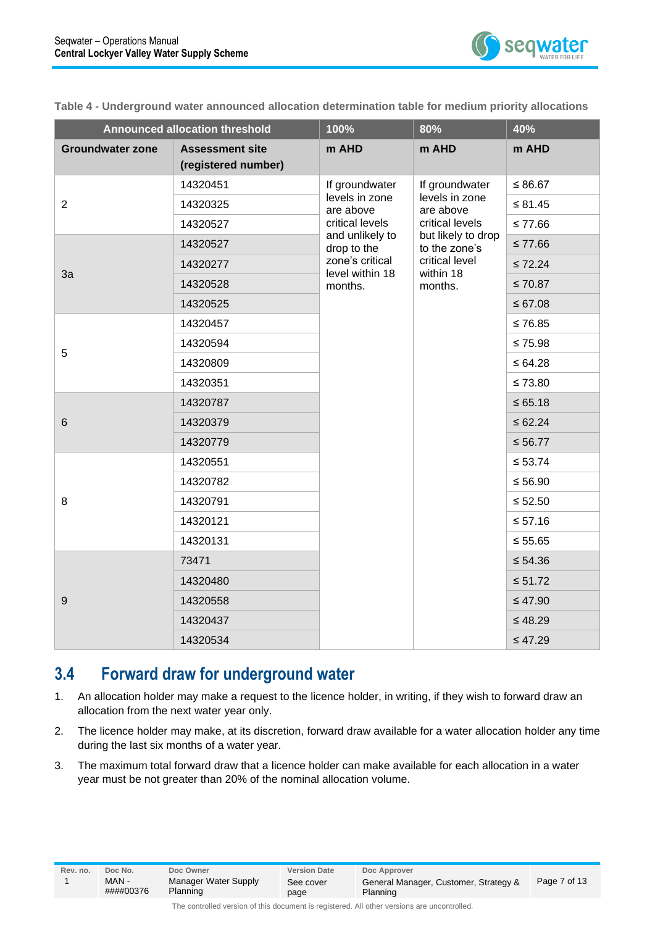

**Table 4 - Underground water announced allocation determination table for medium priority allocations**

| <b>Announced allocation threshold</b> |                                               | 100%                               | 80%                                 | 40%          |
|---------------------------------------|-----------------------------------------------|------------------------------------|-------------------------------------|--------------|
| <b>Groundwater zone</b>               | <b>Assessment site</b><br>(registered number) | m AHD                              | m AHD                               | m AHD        |
|                                       | 14320451                                      | If groundwater                     | If groundwater                      | $\leq 86.67$ |
| $\overline{2}$                        | 14320325                                      | levels in zone<br>are above        | levels in zone<br>are above         | $\leq 81.45$ |
|                                       | 14320527                                      | critical levels                    | critical levels                     | $≤ 77.66$    |
|                                       | 14320527                                      | and unlikely to<br>drop to the     | but likely to drop<br>to the zone's | $≤ 77.66$    |
| 3a                                    | 14320277                                      | zone's critical<br>level within 18 | critical level<br>within 18         | $\leq 72.24$ |
|                                       | 14320528                                      | months.                            | months.                             | $\leq 70.87$ |
|                                       | 14320525                                      |                                    |                                     | $\leq 67.08$ |
|                                       | 14320457                                      |                                    |                                     | $≤ 76.85$    |
| 5                                     | 14320594                                      |                                    |                                     | $\leq 75.98$ |
|                                       | 14320809                                      |                                    |                                     | $\le 64.28$  |
|                                       | 14320351                                      |                                    |                                     | $\leq 73.80$ |
|                                       | 14320787                                      |                                    |                                     | $\le 65.18$  |
| 6                                     | 14320379                                      |                                    |                                     | $\leq 62.24$ |
|                                       | 14320779                                      |                                    |                                     | ≤ 56.77      |
|                                       | 14320551                                      |                                    |                                     | $\leq 53.74$ |
|                                       | 14320782                                      |                                    |                                     | $\leq 56.90$ |
| 8                                     | 14320791                                      |                                    | $≤ 52.50$                           |              |
|                                       | 14320121                                      |                                    |                                     | $\leq 57.16$ |
|                                       | 14320131                                      |                                    |                                     | $\leq 55.65$ |
|                                       | 73471                                         |                                    |                                     | $\leq 54.36$ |
|                                       | 14320480                                      |                                    |                                     | $\leq 51.72$ |
| $\boldsymbol{9}$                      | 14320558                                      |                                    |                                     | $\leq 47.90$ |
|                                       | 14320437                                      |                                    |                                     | $\leq 48.29$ |
|                                       | 14320534                                      |                                    |                                     | $\leq 47.29$ |

#### <span id="page-6-0"></span>**3.4 Forward draw for underground water**

- 1. An allocation holder may make a request to the licence holder, in writing, if they wish to forward draw an allocation from the next water year only.
- 2. The licence holder may make, at its discretion, forward draw available for a water allocation holder any time during the last six months of a water year.
- 3. The maximum total forward draw that a licence holder can make available for each allocation in a water year must be not greater than 20% of the nominal allocation volume.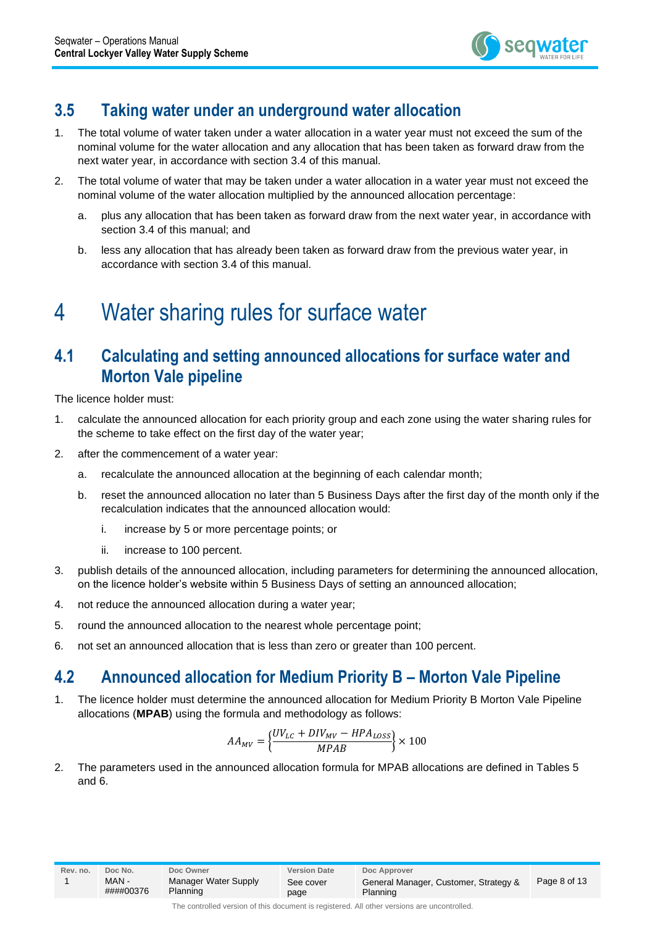

#### <span id="page-7-0"></span>**3.5 Taking water under an underground water allocation**

- 1. The total volume of water taken under a water allocation in a water year must not exceed the sum of the nominal volume for the water allocation and any allocation that has been taken as forward draw from the next water year, in accordance with section 3.4 of this manual.
- 2. The total volume of water that may be taken under a water allocation in a water year must not exceed the nominal volume of the water allocation multiplied by the announced allocation percentage:
	- a. plus any allocation that has been taken as forward draw from the next water year, in accordance with section 3.4 of this manual; and
	- b. less any allocation that has already been taken as forward draw from the previous water year, in accordance with section 3.4 of this manual.

### <span id="page-7-1"></span>4 Water sharing rules for surface water

#### <span id="page-7-2"></span>**4.1 Calculating and setting announced allocations for surface water and Morton Vale pipeline**

The licence holder must:

- 1. calculate the announced allocation for each priority group and each zone using the water sharing rules for the scheme to take effect on the first day of the water year;
- 2. after the commencement of a water year:
	- a. recalculate the announced allocation at the beginning of each calendar month;
	- b. reset the announced allocation no later than 5 Business Days after the first day of the month only if the recalculation indicates that the announced allocation would:
		- i. increase by 5 or more percentage points; or
		- ii. increase to 100 percent.
- 3. publish details of the announced allocation, including parameters for determining the announced allocation, on the licence holder's website within 5 Business Days of setting an announced allocation;
- 4. not reduce the announced allocation during a water year;
- 5. round the announced allocation to the nearest whole percentage point;
- 6. not set an announced allocation that is less than zero or greater than 100 percent.

#### <span id="page-7-3"></span>**4.2 Announced allocation for Medium Priority B – Morton Vale Pipeline**

1. The licence holder must determine the announced allocation for Medium Priority B Morton Vale Pipeline allocations (**MPAB**) using the formula and methodology as follows:

$$
AA_{MV}=\bigg\{\frac{UV_{LC}+DIV_{MV}-HPA_{LOSS}}{MPAB}\bigg\}\times100
$$

2. The parameters used in the announced allocation formula for MPAB allocations are defined in Tables 5 and 6.

####00376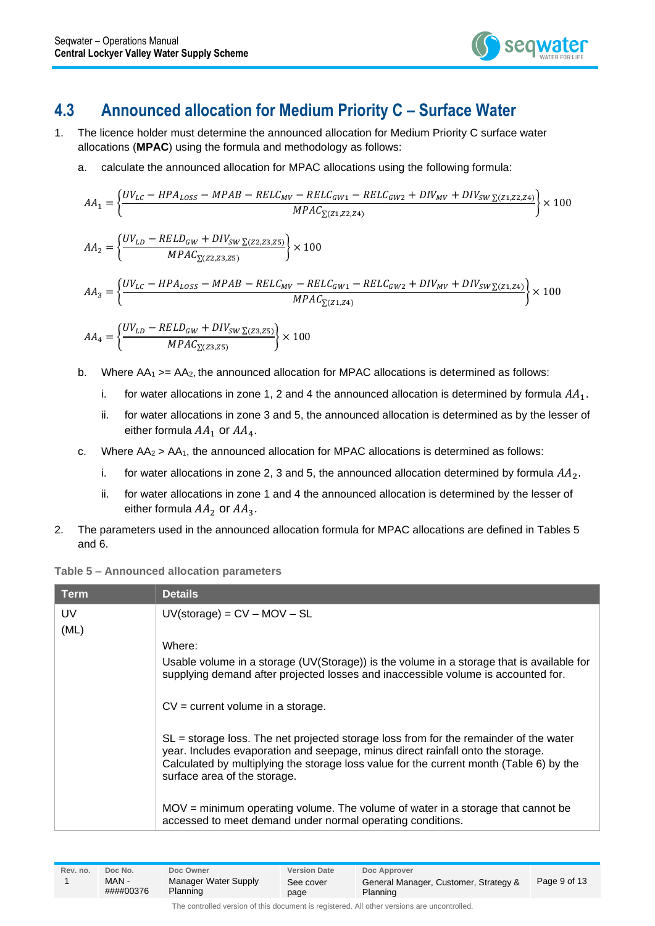

#### <span id="page-8-0"></span>**4.3 Announced allocation for Medium Priority C – Surface Water**

- 1. The licence holder must determine the announced allocation for Medium Priority C surface water allocations (**MPAC**) using the formula and methodology as follows:
	- a. calculate the announced allocation for MPAC allocations using the following formula:

$$
AA_{1} = \left\{\frac{UV_{LC} - HPA_{LoSS} - MPAB - RELC_{MW} - RELC_{GW1} - RELC_{GW2} + DIV_{MV} + DIV_{SW \Sigma (Z1, Z2, Z4)} \right\} \times 100
$$
\n
$$
AA_{2} = \left\{\frac{UV_{LD} - RELD_{GW} + DIV_{SW \Sigma (Z2, Z3, Z5)} \left[100 - \frac{MLD_{GW} + DIV_{SW \Sigma (Z2, Z3, Z5)} \right]}{MPAC_{\Sigma (Z2, Z3, Z5)}}\right\} \times 100
$$
\n
$$
AA_{3} = \left\{\frac{UV_{LC} - HPA_{LoSS} - MPAB - RELC_{MV} - RELC_{GW1} - RELC_{GW2} + DIV_{MV} + DIV_{SW \Sigma (Z1, Z4)} \right\} \times 100
$$
\n
$$
MPAC_{\Sigma (Z1, Z4)} \right\} \times 100
$$

$$
AA_4 = \left\{\frac{UV_{LD} - RELD_{GW} + DIV_{SW \Sigma(23,25)}}{MPAC_{\Sigma(23,25)}}\right\} \times 100
$$

- b. Where  $AA_1$  >=  $AA_2$ , the announced allocation for MPAC allocations is determined as follows:
	- i. for water allocations in zone 1, 2 and 4 the announced allocation is determined by formula  $AA<sub>1</sub>$ .
	- ii. for water allocations in zone 3 and 5, the announced allocation is determined as by the lesser of either formula  $AA_1$  or  $AA_4$ .
- c. Where  $AA_2 > AA_1$ , the announced allocation for MPAC allocations is determined as follows:
	- i. for water allocations in zone 2, 3 and 5, the announced allocation determined by formula  $AA<sub>2</sub>$ .
	- ii. for water allocations in zone 1 and 4 the announced allocation is determined by the lesser of either formula  $AA_2$  or  $AA_3$ .
- 2. The parameters used in the announced allocation formula for MPAC allocations are defined in Tables 5 and 6.

| Term. | <b>Details</b>                                                                                                                                                                                                                                                                                        |  |  |  |
|-------|-------------------------------------------------------------------------------------------------------------------------------------------------------------------------------------------------------------------------------------------------------------------------------------------------------|--|--|--|
| UV.   | $UV(\text{storage}) = CV - MOV - SL$                                                                                                                                                                                                                                                                  |  |  |  |
| (ML)  |                                                                                                                                                                                                                                                                                                       |  |  |  |
|       | Where:                                                                                                                                                                                                                                                                                                |  |  |  |
|       | Usable volume in a storage (UV(Storage)) is the volume in a storage that is available for<br>supplying demand after projected losses and inaccessible volume is accounted for.                                                                                                                        |  |  |  |
|       | $CV = current volume$ in a storage.                                                                                                                                                                                                                                                                   |  |  |  |
|       | $SL =$ storage loss. The net projected storage loss from for the remainder of the water<br>year. Includes evaporation and seepage, minus direct rainfall onto the storage.<br>Calculated by multiplying the storage loss value for the current month (Table 6) by the<br>surface area of the storage. |  |  |  |
|       | $MOV =$ minimum operating volume. The volume of water in a storage that cannot be<br>accessed to meet demand under normal operating conditions.                                                                                                                                                       |  |  |  |

| Rev. no. | Doc No.            | Doc Owner                        | <b>Version Date</b> | Doc Approver                                      |              |
|----------|--------------------|----------------------------------|---------------------|---------------------------------------------------|--------------|
|          | MAN -<br>####00376 | Manager Water Supply<br>Planning | See cover<br>page   | General Manager, Customer, Strategy &<br>Planning | Page 9 of 13 |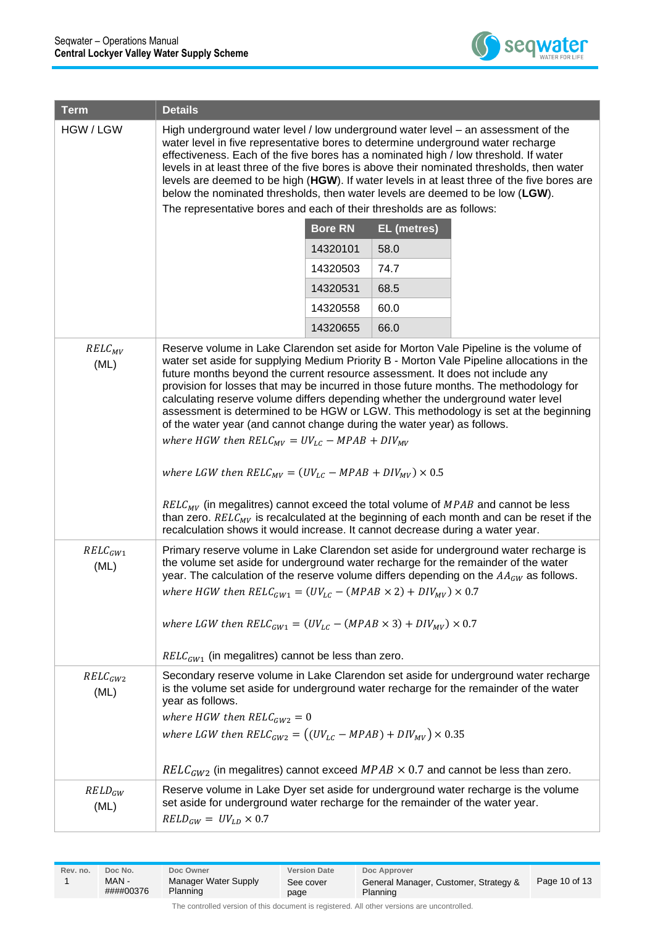

| <b>Term</b>          | <b>Details</b>                                                                                                                                                                                                                                                                                                                                                                                                                                                                                                                                                                                                                                                                                                                                                                                                                                                                                                                                 |          |      |                                                                               |  |  |  |  |
|----------------------|------------------------------------------------------------------------------------------------------------------------------------------------------------------------------------------------------------------------------------------------------------------------------------------------------------------------------------------------------------------------------------------------------------------------------------------------------------------------------------------------------------------------------------------------------------------------------------------------------------------------------------------------------------------------------------------------------------------------------------------------------------------------------------------------------------------------------------------------------------------------------------------------------------------------------------------------|----------|------|-------------------------------------------------------------------------------|--|--|--|--|
| HGW / LGW            | High underground water level / low underground water level – an assessment of the<br>water level in five representative bores to determine underground water recharge<br>effectiveness. Each of the five bores has a nominated high / low threshold. If water<br>levels in at least three of the five bores is above their nominated thresholds, then water<br>levels are deemed to be high (HGW). If water levels in at least three of the five bores are<br>below the nominated thresholds, then water levels are deemed to be low (LGW).<br>The representative bores and each of their thresholds are as follows:                                                                                                                                                                                                                                                                                                                           |          |      |                                                                               |  |  |  |  |
|                      | <b>Bore RN</b><br><b>EL</b> (metres)                                                                                                                                                                                                                                                                                                                                                                                                                                                                                                                                                                                                                                                                                                                                                                                                                                                                                                           |          |      |                                                                               |  |  |  |  |
|                      |                                                                                                                                                                                                                                                                                                                                                                                                                                                                                                                                                                                                                                                                                                                                                                                                                                                                                                                                                | 14320101 | 58.0 |                                                                               |  |  |  |  |
|                      |                                                                                                                                                                                                                                                                                                                                                                                                                                                                                                                                                                                                                                                                                                                                                                                                                                                                                                                                                | 14320503 | 74.7 |                                                                               |  |  |  |  |
|                      |                                                                                                                                                                                                                                                                                                                                                                                                                                                                                                                                                                                                                                                                                                                                                                                                                                                                                                                                                | 14320531 | 68.5 |                                                                               |  |  |  |  |
|                      |                                                                                                                                                                                                                                                                                                                                                                                                                                                                                                                                                                                                                                                                                                                                                                                                                                                                                                                                                | 14320558 | 60.0 |                                                                               |  |  |  |  |
|                      |                                                                                                                                                                                                                                                                                                                                                                                                                                                                                                                                                                                                                                                                                                                                                                                                                                                                                                                                                | 14320655 | 66.0 |                                                                               |  |  |  |  |
| $RELC_{MV}$<br>(ML)  | Reserve volume in Lake Clarendon set aside for Morton Vale Pipeline is the volume of<br>water set aside for supplying Medium Priority B - Morton Vale Pipeline allocations in the<br>future months beyond the current resource assessment. It does not include any<br>provision for losses that may be incurred in those future months. The methodology for<br>calculating reserve volume differs depending whether the underground water level<br>assessment is determined to be HGW or LGW. This methodology is set at the beginning<br>of the water year (and cannot change during the water year) as follows.<br>where HGW then $RELC_{MV} = UV_{LC} - MPAB + DIV_{MV}$<br>where LGW then $RELC_{MV} = (UV_{LC} - MPAB + DIV_{MV}) \times 0.5$<br>$RELC_{MV}$ (in megalitres) cannot exceed the total volume of $MPAB$ and cannot be less<br>than zero. $RELC_{MV}$ is recalculated at the beginning of each month and can be reset if the |          |      |                                                                               |  |  |  |  |
| $RELG_{GW1}$<br>(ML) | recalculation shows it would increase. It cannot decrease during a water year.<br>Primary reserve volume in Lake Clarendon set aside for underground water recharge is<br>the volume set aside for underground water recharge for the remainder of the water<br>year. The calculation of the reserve volume differs depending on the $AA_{GW}$ as follows.<br>where HGW then $RELC_{GW1} = (UV_{LC} - (MPAB \times 2) + DIV_{MV}) \times 0.7$<br>where LGW then $RELC_{GW1} = (UV_{LC} - (MPAB \times 3) + DIV_{MV}) \times 0.7$<br>$RELC_{GW1}$ (in megalitres) cannot be less than zero.                                                                                                                                                                                                                                                                                                                                                     |          |      |                                                                               |  |  |  |  |
| $RELG_{6W2}$         | Secondary reserve volume in Lake Clarendon set aside for underground water recharge                                                                                                                                                                                                                                                                                                                                                                                                                                                                                                                                                                                                                                                                                                                                                                                                                                                            |          |      |                                                                               |  |  |  |  |
| (ML)                 | is the volume set aside for underground water recharge for the remainder of the water<br>year as follows.<br>where HGW then $RELC_{GW2} = 0$<br>where LGW then $RELC_{GW2} = ((UV_{LC} - MPAB) + DIV_{MV}) \times 0.35$<br>$RELG_{GW2}$ (in megalitres) cannot exceed $MPAB \times 0.7$ and cannot be less than zero.                                                                                                                                                                                                                                                                                                                                                                                                                                                                                                                                                                                                                          |          |      |                                                                               |  |  |  |  |
| $RELD_{GW}$          | Reserve volume in Lake Dyer set aside for underground water recharge is the volume                                                                                                                                                                                                                                                                                                                                                                                                                                                                                                                                                                                                                                                                                                                                                                                                                                                             |          |      |                                                                               |  |  |  |  |
| (ML)                 | $RELD_{GW} = UV_{LD} \times 0.7$                                                                                                                                                                                                                                                                                                                                                                                                                                                                                                                                                                                                                                                                                                                                                                                                                                                                                                               |          |      | set aside for underground water recharge for the remainder of the water year. |  |  |  |  |

| MAN-<br>Manager Water Supply<br>General Manager, Customer, Strategy &<br>See cover<br>####00376<br>Planning<br>Planning<br>page | Rev. no. | Doc No. | Doc Owner | <b>Version Date</b> | Doc Approver | Page 10 of 13 |
|---------------------------------------------------------------------------------------------------------------------------------|----------|---------|-----------|---------------------|--------------|---------------|
|---------------------------------------------------------------------------------------------------------------------------------|----------|---------|-----------|---------------------|--------------|---------------|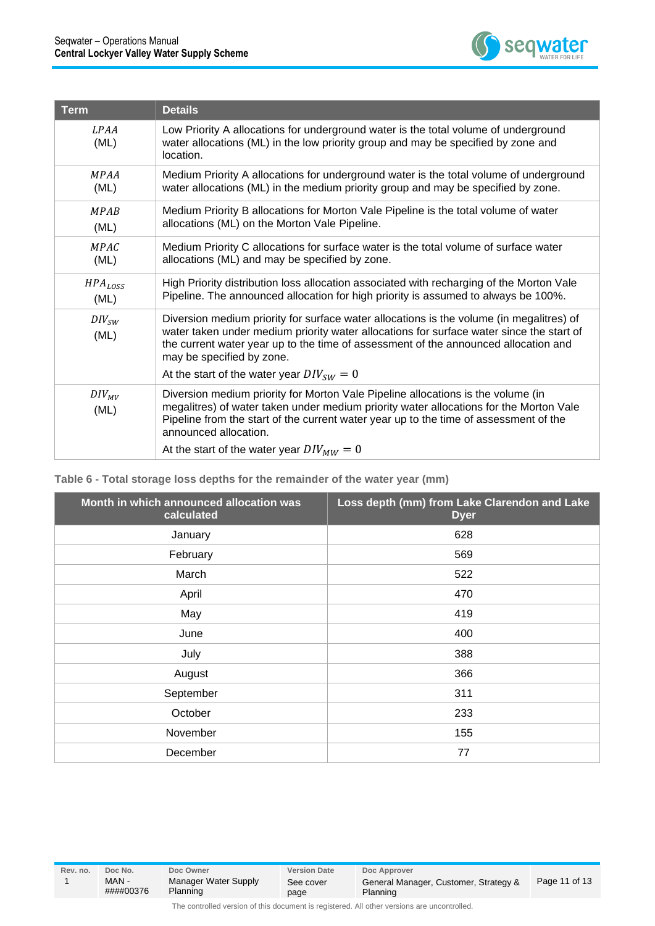

| <b>Term</b>          | <b>Details</b>                                                                                                                                                                                                                                                                                           |  |
|----------------------|----------------------------------------------------------------------------------------------------------------------------------------------------------------------------------------------------------------------------------------------------------------------------------------------------------|--|
| LPAA<br>(ML)         | Low Priority A allocations for underground water is the total volume of underground<br>water allocations (ML) in the low priority group and may be specified by zone and<br>location.                                                                                                                    |  |
| <b>MPAA</b><br>(ML)  | Medium Priority A allocations for underground water is the total volume of underground<br>water allocations (ML) in the medium priority group and may be specified by zone.                                                                                                                              |  |
| <b>MPAR</b><br>(ML)  | Medium Priority B allocations for Morton Vale Pipeline is the total volume of water<br>allocations (ML) on the Morton Vale Pipeline.                                                                                                                                                                     |  |
| <b>MPAC</b><br>(ML)  | Medium Priority C allocations for surface water is the total volume of surface water<br>allocations (ML) and may be specified by zone.                                                                                                                                                                   |  |
| $HPA_{LOSS}$<br>(ML) | High Priority distribution loss allocation associated with recharging of the Morton Vale<br>Pipeline. The announced allocation for high priority is assumed to always be 100%.                                                                                                                           |  |
| $DIV_{SW}$<br>(ML)   | Diversion medium priority for surface water allocations is the volume (in megalitres) of<br>water taken under medium priority water allocations for surface water since the start of<br>the current water year up to the time of assessment of the announced allocation and<br>may be specified by zone. |  |
|                      | At the start of the water year $DIV_{SW} = 0$                                                                                                                                                                                                                                                            |  |
| $DIV_{MV}$<br>(ML)   | Diversion medium priority for Morton Vale Pipeline allocations is the volume (in<br>megalitres) of water taken under medium priority water allocations for the Morton Vale<br>Pipeline from the start of the current water year up to the time of assessment of the<br>announced allocation.             |  |
|                      | At the start of the water year $DIV_{MW} = 0$                                                                                                                                                                                                                                                            |  |

#### **Table 6 - Total storage loss depths for the remainder of the water year (mm)**

| Month in which announced allocation was<br>calculated | Loss depth (mm) from Lake Clarendon and Lake<br><b>Dyer</b> |
|-------------------------------------------------------|-------------------------------------------------------------|
| January                                               | 628                                                         |
| February                                              | 569                                                         |
| March                                                 | 522                                                         |
| April                                                 | 470                                                         |
| May                                                   | 419                                                         |
| June                                                  | 400                                                         |
| July                                                  | 388                                                         |
| August                                                | 366                                                         |
| September                                             | 311                                                         |
| October                                               | 233                                                         |
| November                                              | 155                                                         |
| December                                              | 77                                                          |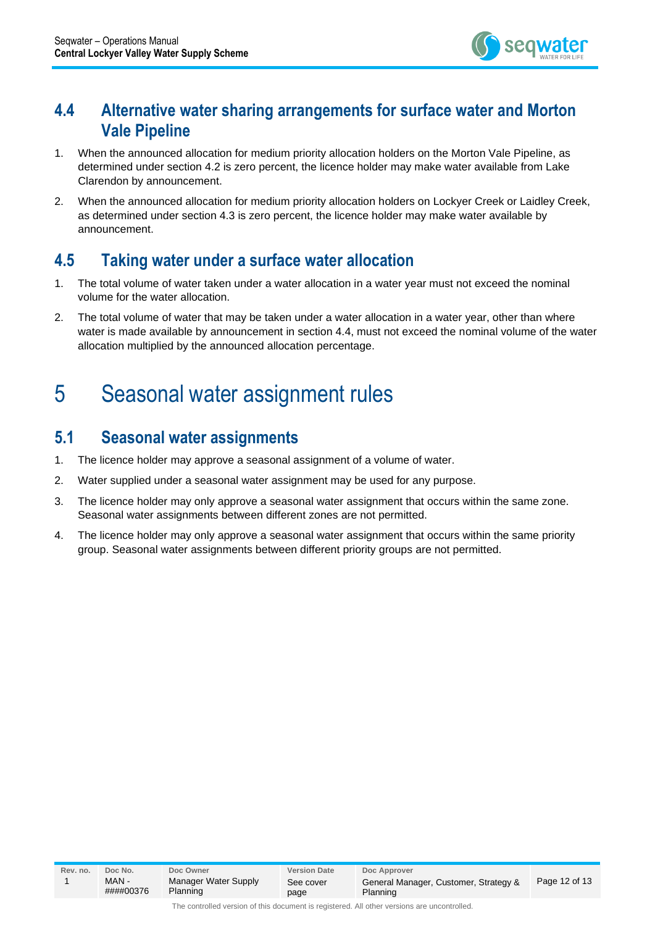

#### <span id="page-11-0"></span>**4.4 Alternative water sharing arrangements for surface water and Morton Vale Pipeline**

- 1. When the announced allocation for medium priority allocation holders on the Morton Vale Pipeline, as determined under section 4.2 is zero percent, the licence holder may make water available from Lake Clarendon by announcement.
- 2. When the announced allocation for medium priority allocation holders on Lockyer Creek or Laidley Creek, as determined under section 4.3 is zero percent, the licence holder may make water available by announcement.

#### <span id="page-11-1"></span>**4.5 Taking water under a surface water allocation**

- 1. The total volume of water taken under a water allocation in a water year must not exceed the nominal volume for the water allocation.
- 2. The total volume of water that may be taken under a water allocation in a water year, other than where water is made available by announcement in section 4.4, must not exceed the nominal volume of the water allocation multiplied by the announced allocation percentage.

### <span id="page-11-2"></span>5 Seasonal water assignment rules

#### <span id="page-11-3"></span>**5.1 Seasonal water assignments**

- 1. The licence holder may approve a seasonal assignment of a volume of water.
- 2. Water supplied under a seasonal water assignment may be used for any purpose.
- 3. The licence holder may only approve a seasonal water assignment that occurs within the same zone. Seasonal water assignments between different zones are not permitted.
- 4. The licence holder may only approve a seasonal water assignment that occurs within the same priority group. Seasonal water assignments between different priority groups are not permitted.